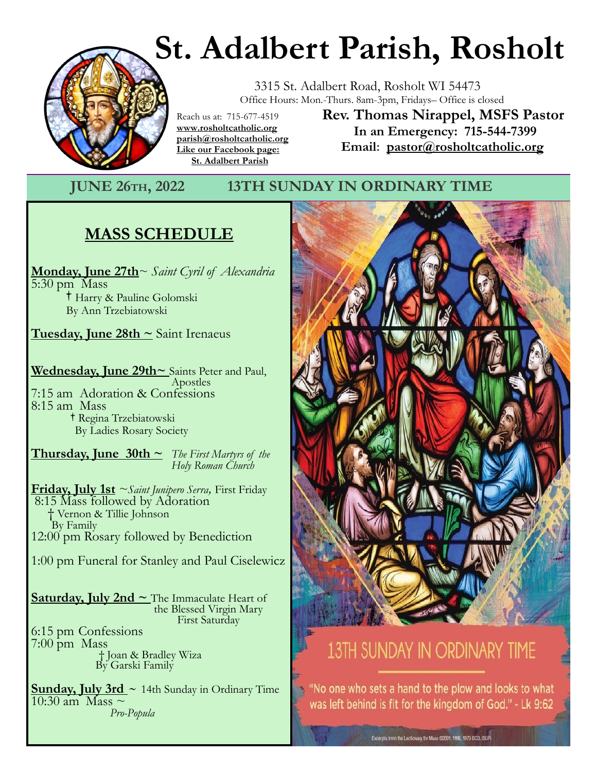# **St. Adalbert Parish, Rosholt**



 3315 St. Adalbert Road, Rosholt WI 54473 Office Hours: Mon.-Thurs. 8am-3pm, Fridays– Office is closed

Reach us at: 715-677-4519 **www.rosholtcatholic.org parish@rosholtcatholic.org Like our Facebook page: St. Adalbert Parish**

**Rev. Thomas Nirappel, MSFS Pastor In an Emergency: 715-544-7399 Email: pastor@rosholtcatholic.org**

#### **JUNE 26TH, 2022 13TH SUNDAY IN ORDINARY TIME**

### **MASS SCHEDULE**

**Monday, June 27th**~ *Saint Cyril of Alexandria* 5:30 pm Mass Harry & Pauline Golomski By Ann Trzebiatowski

**Tuesday, June 28th ~** Saint Irenaeus

**Wednesday, June 29th~** Saints Peter and Paul, Apostles 7:15 am Adoration & Confessions 8:15 am Mass Regina Trzebiatowski By Ladies Rosary Society i.

**Thursday, June 30th**  $\sim$  *The First Martyrs of the Holy Roman Church* 

**Friday, July 1st** *~Saint Junipero Serra,* First Friday 8:15 Mass followed by Adoration † Vernon & Tillie Johnson By Family 12:00 pm Rosary followed by Benediction

1:00 pm Funeral for Stanley and Paul Ciselewicz

**Saturday, July 2nd ~** The Immaculate Heart of the Blessed Virgin Mary First Saturday 6:15 pm Confessions

7:00 pm Mass † Joan & Bradley Wiza By Garski Family

**Sunday, July 3rd ~** 14th Sunday in Ordinary Time 10:30 am Mass ~ *Pro-Popula* 



## 13TH SUNDAY IN ORDINARY TIME

. "No one who sets a hand to the plow and looks to what was left behind is fit for the kingdom of God." - Lk 9:62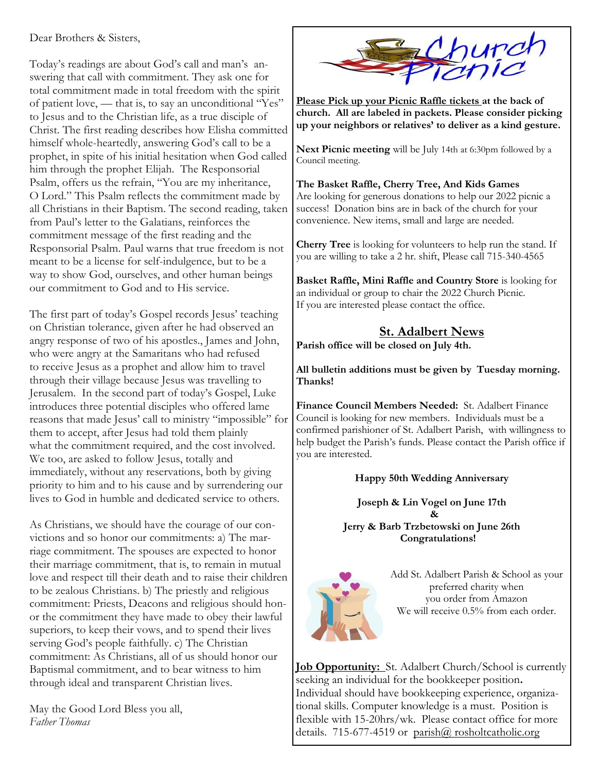Dear Brothers & Sisters,

Today's readings are about God's call and man's answering that call with commitment. They ask one for total commitment made in total freedom with the spirit of patient love, — that is, to say an unconditional "Yes" to Jesus and to the Christian life, as a true disciple of Christ. The first reading describes how Elisha committed himself whole-heartedly, answering God's call to be a prophet, in spite of his initial hesitation when God called him through the prophet Elijah. The Responsorial Psalm, offers us the refrain, "You are my inheritance, O Lord." This Psalm reflects the commitment made by all Christians in their Baptism. The second reading, taken from Paul's letter to the Galatians, reinforces the commitment message of the first reading and the Responsorial Psalm. Paul warns that true freedom is not meant to be a license for self-indulgence, but to be a way to show God, ourselves, and other human beings our commitment to God and to His service.

The first part of today's Gospel records Jesus' teaching on Christian tolerance, given after he had observed an angry response of two of his apostles., James and John, who were angry at the Samaritans who had refused to receive Jesus as a prophet and allow him to travel through their village because Jesus was travelling to Jerusalem. In the second part of today's Gospel, Luke introduces three potential disciples who offered lame reasons that made Jesus' call to ministry "impossible" for them to accept, after Jesus had told them plainly what the commitment required, and the cost involved. We too, are asked to follow Jesus, totally and immediately, without any reservations, both by giving priority to him and to his cause and by surrendering our lives to God in humble and dedicated service to others.

As Christians, we should have the courage of our convictions and so honor our commitments: a) The marriage commitment. The spouses are expected to honor their marriage commitment, that is, to remain in mutual love and respect till their death and to raise their children to be zealous Christians. b) The priestly and religious commitment: Priests, Deacons and religious should honor the commitment they have made to obey their lawful superiors, to keep their vows, and to spend their lives serving God's people faithfully. c) The Christian commitment: As Christians, all of us should honor our Baptismal commitment, and to bear witness to him through ideal and transparent Christian lives.

May the Good Lord Bless you all, *Father Thomas*



**Please Pick up your Picnic Raffle tickets at the back of church. All are labeled in packets. Please consider picking up your neighbors or relatives' to deliver as a kind gesture.**

**Next Picnic meeting** will be July 14th at 6:30pm followed by a Council meeting.

**The Basket Raffle, Cherry Tree, And Kids Games** Are looking for generous donations to help our 2022 picnic a success! Donation bins are in back of the church for your convenience. New items, small and large are needed.

**Cherry Tree** is looking for volunteers to help run the stand. If you are willing to take a 2 hr. shift, Please call 715-340-4565

**Basket Raffle, Mini Raffle and Country Store** is looking for an individual or group to chair the 2022 Church Picnic. If you are interested please contact the office.

#### **St. Adalbert News**

**Parish office will be closed on July 4th.**

**All bulletin additions must be given by Tuesday morning. Thanks!**

**Finance Council Members Needed:** St. Adalbert Finance Council is looking for new members. Individuals must be a confirmed parishioner of St. Adalbert Parish, with willingness to help budget the Parish's funds. Please contact the Parish office if you are interested.

#### **Happy 50th Wedding Anniversary**

**Joseph & Lin Vogel on June 17th & Jerry & Barb Trzbetowski on June 26th Congratulations!**



Add St. Adalbert Parish & School as your preferred charity when you order from Amazon We will receive  $0.5%$  from each order.

**Job Opportunity:** St. Adalbert Church/School is currently seeking an individual for the bookkeeper position**.**  Individual should have bookkeeping experience, organizational skills. Computer knowledge is a must. Position is flexible with 15-20hrs/wk. Please contact office for more details. 715-677-4519 or parish@ rosholtcatholic.org